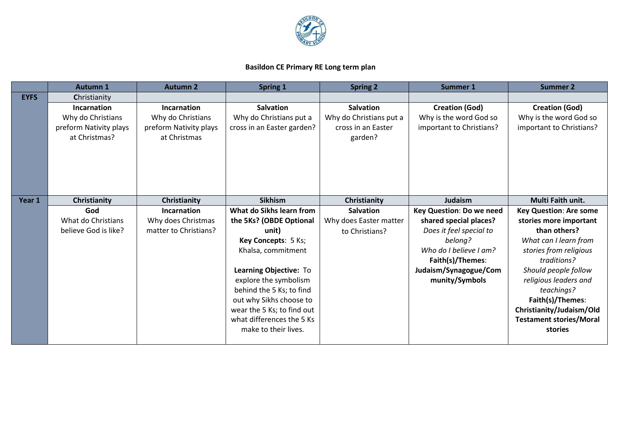

## **Basildon CE Primary RE Long term plan**

|             | <b>Autumn 1</b>        | <b>Autumn 2</b>        | Spring 1                   | <b>Spring 2</b>         | Summer 1                 | <b>Summer 2</b>                |
|-------------|------------------------|------------------------|----------------------------|-------------------------|--------------------------|--------------------------------|
| <b>EYFS</b> | Christianity           |                        |                            |                         |                          |                                |
|             | Incarnation            | <b>Incarnation</b>     | <b>Salvation</b>           | <b>Salvation</b>        | <b>Creation (God)</b>    | <b>Creation (God)</b>          |
|             | Why do Christians      | Why do Christians      | Why do Christians put a    | Why do Christians put a | Why is the word God so   | Why is the word God so         |
|             | preform Nativity plays | preform Nativity plays | cross in an Easter garden? | cross in an Easter      | important to Christians? | important to Christians?       |
|             | at Christmas?          | at Christmas           |                            | garden?                 |                          |                                |
|             |                        |                        |                            |                         |                          |                                |
|             |                        |                        |                            |                         |                          |                                |
|             |                        |                        |                            |                         |                          |                                |
|             |                        |                        |                            |                         |                          |                                |
|             |                        |                        |                            |                         |                          |                                |
| Year 1      | Christianity           | Christianity           | <b>Sikhism</b>             | Christianity            | Judaism                  | Multi Faith unit.              |
|             | God                    | Incarnation            | What do Sikhs learn from   | <b>Salvation</b>        | Key Question: Do we need | <b>Key Question: Are some</b>  |
|             | What do Christians     | Why does Christmas     | the 5Ks? (OBDE Optional    | Why does Easter matter  | shared special places?   | stories more important         |
|             | believe God is like?   | matter to Christians?  | unit)                      | to Christians?          | Does it feel special to  | than others?                   |
|             |                        |                        | Key Concepts: 5 Ks;        |                         | belong?                  | What can I learn from          |
|             |                        |                        | Khalsa, commitment         |                         | Who do I believe I am?   | stories from religious         |
|             |                        |                        |                            |                         | Faith(s)/Themes:         | traditions?                    |
|             |                        |                        | Learning Objective: To     |                         | Judaism/Synagogue/Com    | Should people follow           |
|             |                        |                        | explore the symbolism      |                         | munity/Symbols           | religious leaders and          |
|             |                        |                        | behind the 5 Ks; to find   |                         |                          | teachings?                     |
|             |                        |                        | out why Sikhs choose to    |                         |                          | Faith(s)/Themes:               |
|             |                        |                        | wear the 5 Ks; to find out |                         |                          | Christianity/Judaism/Old       |
|             |                        |                        | what differences the 5 Ks  |                         |                          | <b>Testament stories/Moral</b> |
|             |                        |                        | make to their lives.       |                         |                          | stories                        |
|             |                        |                        |                            |                         |                          |                                |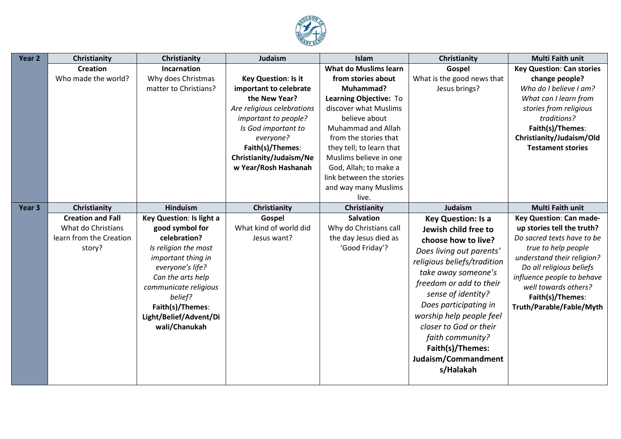

| Year 2            | Christianity             | Christianity             | Judaism                    | Islam                        | Christianity                | <b>Multi Faith unit</b>          |
|-------------------|--------------------------|--------------------------|----------------------------|------------------------------|-----------------------------|----------------------------------|
|                   | <b>Creation</b>          | <b>Incarnation</b>       |                            | <b>What do Muslims learn</b> | Gospel                      | <b>Key Question: Can stories</b> |
|                   | Who made the world?      | Why does Christmas       | Key Question: Is it        | from stories about           | What is the good news that  | change people?                   |
|                   |                          | matter to Christians?    | important to celebrate     | Muhammad?                    | Jesus brings?               | Who do I believe I am?           |
|                   |                          |                          | the New Year?              | Learning Objective: To       |                             | What can I learn from            |
|                   |                          |                          | Are religious celebrations | discover what Muslims        |                             | stories from religious           |
|                   |                          |                          | important to people?       | believe about                |                             | traditions?                      |
|                   |                          |                          | Is God important to        | Muhammad and Allah           |                             | Faith(s)/Themes:                 |
|                   |                          |                          | everyone?                  | from the stories that        |                             | Christianity/Judaism/Old         |
|                   |                          |                          | Faith(s)/Themes:           | they tell; to learn that     |                             | <b>Testament stories</b>         |
|                   |                          |                          | Christianity/Judaism/Ne    | Muslims believe in one       |                             |                                  |
|                   |                          |                          | w Year/Rosh Hashanah       | God, Allah; to make a        |                             |                                  |
|                   |                          |                          |                            | link between the stories     |                             |                                  |
|                   |                          |                          |                            | and way many Muslims         |                             |                                  |
|                   |                          |                          |                            | live.                        |                             |                                  |
| Year <sub>3</sub> | Christianity             | <b>Hinduism</b>          | Christianity               | Christianity                 | Judaism                     | <b>Multi Faith unit</b>          |
|                   | <b>Creation and Fall</b> | Key Question: Is light a | Gospel                     | <b>Salvation</b>             | <b>Key Question: Is a</b>   | <b>Key Question: Can made-</b>   |
|                   | What do Christians       | good symbol for          | What kind of world did     | Why do Christians call       | Jewish child free to        | up stories tell the truth?       |
|                   | learn from the Creation  | celebration?             | Jesus want?                | the day Jesus died as        | choose how to live?         | Do sacred texts have to be       |
|                   | story?                   | Is religion the most     |                            | 'Good Friday'?               | Does living out parents'    | true to help people              |
|                   |                          | important thing in       |                            |                              | religious beliefs/tradition | understand their religion?       |
|                   |                          | everyone's life?         |                            |                              | take away someone's         | Do all religious beliefs         |
|                   |                          | Can the arts help        |                            |                              | freedom or add to their     | influence people to behave       |
|                   |                          | communicate religious    |                            |                              |                             | well towards others?             |
|                   |                          | belief?                  |                            |                              | sense of identity?          | Faith(s)/Themes:                 |
|                   |                          | Faith(s)/Themes:         |                            |                              | Does participating in       | Truth/Parable/Fable/Myth         |
|                   |                          | Light/Belief/Advent/Di   |                            |                              | worship help people feel    |                                  |
|                   |                          | wali/Chanukah            |                            |                              | closer to God or their      |                                  |
|                   |                          |                          |                            |                              | faith community?            |                                  |
|                   |                          |                          |                            |                              | Faith(s)/Themes:            |                                  |
|                   |                          |                          |                            |                              | Judaism/Commandment         |                                  |
|                   |                          |                          |                            |                              | s/Halakah                   |                                  |
|                   |                          |                          |                            |                              |                             |                                  |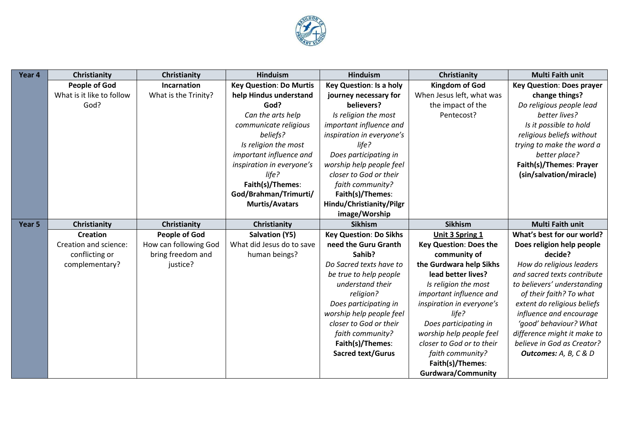

| Year 4 | Christianity              | Christianity          | <b>Hinduism</b>                | <b>Hinduism</b>                | Christianity                  | <b>Multi Faith unit</b>          |
|--------|---------------------------|-----------------------|--------------------------------|--------------------------------|-------------------------------|----------------------------------|
|        | <b>People of God</b>      | Incarnation           | <b>Key Question: Do Murtis</b> | <b>Key Question: Is a holy</b> | <b>Kingdom of God</b>         | <b>Key Question: Does prayer</b> |
|        | What is it like to follow | What is the Trinity?  | help Hindus understand         | journey necessary for          | When Jesus left, what was     | change things?                   |
|        | God?                      |                       | God?                           | believers?                     | the impact of the             | Do religious people lead         |
|        |                           |                       | Can the arts help              | Is religion the most           | Pentecost?                    | better lives?                    |
|        |                           |                       | communicate religious          | important influence and        |                               | Is it possible to hold           |
|        |                           |                       | beliefs?                       | inspiration in everyone's      |                               | religious beliefs without        |
|        |                           |                       | Is religion the most           | life?                          |                               | trying to make the word a        |
|        |                           |                       | important influence and        | Does participating in          |                               | better place?                    |
|        |                           |                       | inspiration in everyone's      | worship help people feel       |                               | Faith(s)/Themes: Prayer          |
|        |                           |                       | life?                          | closer to God or their         |                               | (sin/salvation/miracle)          |
|        |                           |                       | Faith(s)/Themes:               | faith community?               |                               |                                  |
|        |                           |                       | God/Brahman/Trimurti/          | Faith(s)/Themes:               |                               |                                  |
|        |                           |                       | <b>Murtis/Avatars</b>          | Hindu/Christianity/Pilgr       |                               |                                  |
|        |                           |                       |                                | image/Worship                  |                               |                                  |
| Year 5 | Christianity              | Christianity          | Christianity                   | <b>Sikhism</b>                 | <b>Sikhism</b>                | <b>Multi Faith unit</b>          |
|        | <b>Creation</b>           | <b>People of God</b>  | <b>Salvation (Y5)</b>          | <b>Key Question: Do Sikhs</b>  | Unit 3 Spring 1               | What's best for our world?       |
|        | Creation and science:     | How can following God | What did Jesus do to save      | need the Guru Granth           | <b>Key Question: Does the</b> | Does religion help people        |
|        | conflicting or            | bring freedom and     | human beings?                  | Sahib?                         | community of                  | decide?                          |
|        | complementary?            | justice?              |                                | Do Sacred texts have to        | the Gurdwara help Sikhs       | How do religious leaders         |
|        |                           |                       |                                | be true to help people         | lead better lives?            | and sacred texts contribute      |
|        |                           |                       |                                | understand their               | Is religion the most          | to believers' understanding      |
|        |                           |                       |                                | religion?                      | important influence and       | of their faith? To what          |
|        |                           |                       |                                | Does participating in          | inspiration in everyone's     | extent do religious beliefs      |
|        |                           |                       |                                | worship help people feel       | life?                         | influence and encourage          |
|        |                           |                       |                                | closer to God or their         | Does participating in         | 'good' behaviour? What           |
|        |                           |                       |                                | faith community?               | worship help people feel      | difference might it make to      |
|        |                           |                       |                                | Faith(s)/Themes:               | closer to God or to their     | believe in God as Creator?       |
|        |                           |                       |                                | <b>Sacred text/Gurus</b>       | faith community?              | <b>Outcomes:</b> A, B, C & D     |
|        |                           |                       |                                |                                | Faith(s)/Themes:              |                                  |
|        |                           |                       |                                |                                | <b>Gurdwara/Community</b>     |                                  |